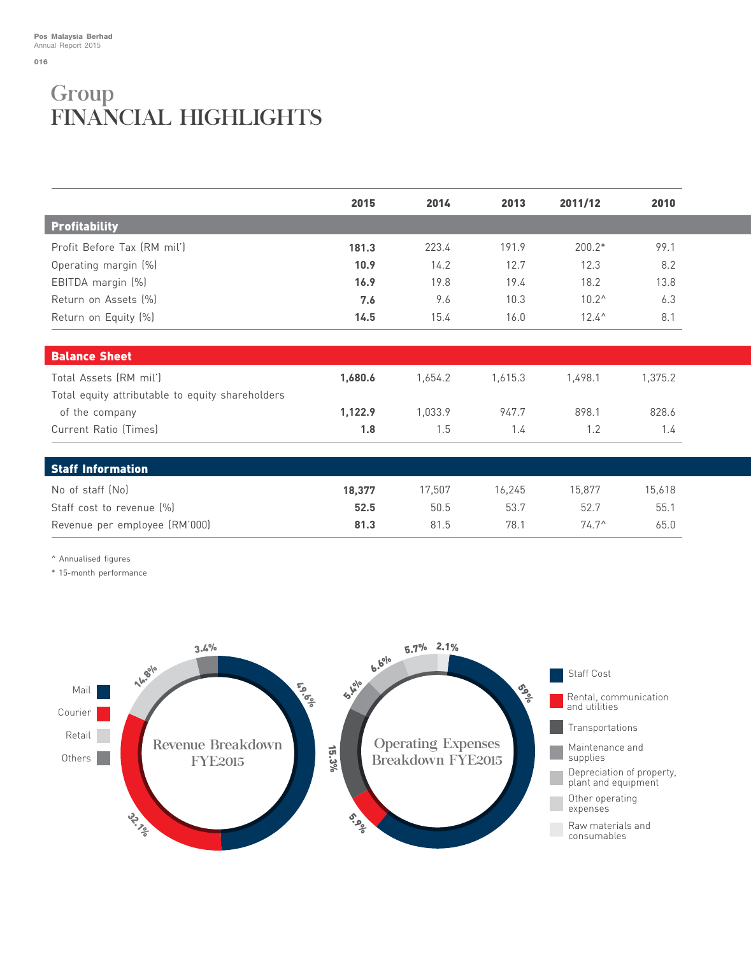016

## Group FINANCIAL HIGHLIGHTS

|                                                  | 2015    | 2014    | 2013    | 2011/12        | 2010    |  |
|--------------------------------------------------|---------|---------|---------|----------------|---------|--|
| <b>Profitability</b>                             |         |         |         |                |         |  |
| Profit Before Tax (RM mil')                      | 181.3   | 223.4   | 191.9   | $200.2*$       | 99.1    |  |
| Operating margin (%)                             | 10.9    | 14.2    | 12.7    | 12.3           | 8.2     |  |
| EBITDA margin (%)                                | 16.9    | 19.8    | 19.4    | 18.2           | 13.8    |  |
| Return on Assets (%)                             | 7.6     | 9.6     | 10.3    | $10.2^{\circ}$ | 6.3     |  |
| Return on Equity (%)                             | 14.5    | 15.4    | 16.0    | $12.4^{\circ}$ | 8.1     |  |
| <b>Balance Sheet</b>                             |         |         |         |                |         |  |
| Total Assets (RM mil')                           | 1,680.6 | 1,654.2 | 1,615.3 | 1,498.1        | 1,375.2 |  |
| Total equity attributable to equity shareholders |         |         |         |                |         |  |
| of the company                                   | 1,122.9 | 1,033.9 | 947.7   | 898.1          | 828.6   |  |
| Current Ratio (Times)                            | 1.8     | 1.5     | 1.4     | 1.2            | 1.4     |  |
| <b>Staff Information</b>                         |         |         |         |                |         |  |
| No of staff (No)                                 | 18,377  | 17,507  | 16,245  | 15,877         | 15,618  |  |
| Staff cost to revenue [%]                        | 52.5    | 50.5    | 53.7    | 52.7           | 55.1    |  |
| Revenue per employee (RM'000)                    | 81.3    | 81.5    | 78.1    | $74.7^{\circ}$ | 65.0    |  |

^ Annualised figures

\* 15-month performance